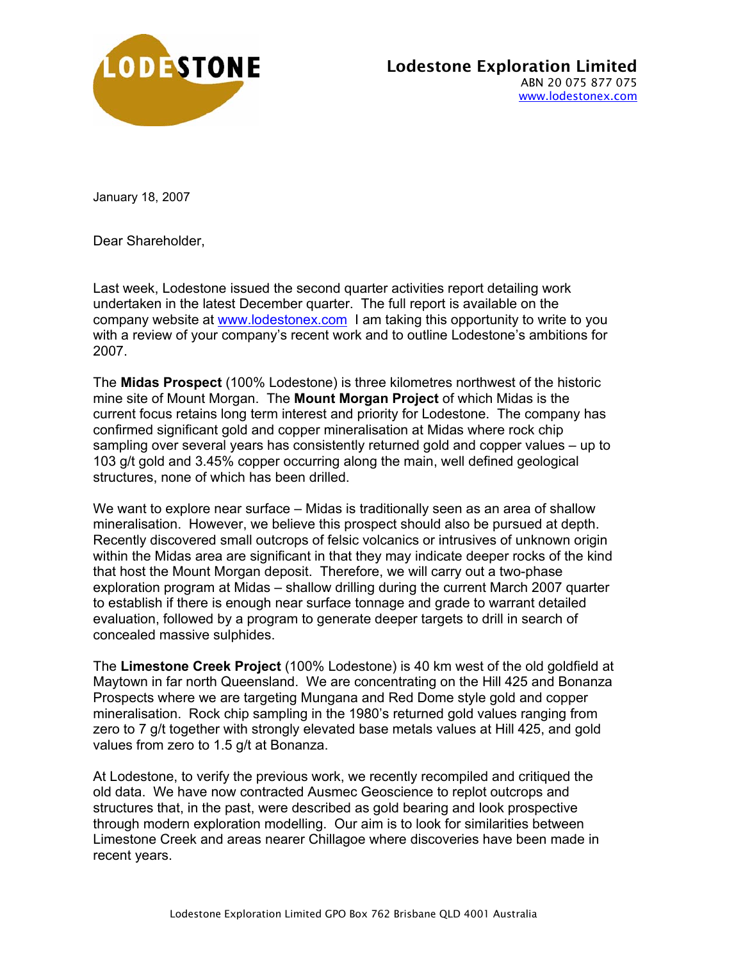

January 18, 2007

Dear Shareholder,

Last week, Lodestone issued the second quarter activities report detailing work undertaken in the latest December quarter. The full report is available on the company website at www.lodestonex.com I am taking this opportunity to write to you with a review of your company's recent work and to outline Lodestone's ambitions for 2007.

The **Midas Prospect** (100% Lodestone) is three kilometres northwest of the historic mine site of Mount Morgan. The **Mount Morgan Project** of which Midas is the current focus retains long term interest and priority for Lodestone. The company has confirmed significant gold and copper mineralisation at Midas where rock chip sampling over several years has consistently returned gold and copper values – up to 103 g/t gold and 3.45% copper occurring along the main, well defined geological structures, none of which has been drilled.

We want to explore near surface – Midas is traditionally seen as an area of shallow mineralisation. However, we believe this prospect should also be pursued at depth. Recently discovered small outcrops of felsic volcanics or intrusives of unknown origin within the Midas area are significant in that they may indicate deeper rocks of the kind that host the Mount Morgan deposit. Therefore, we will carry out a two-phase exploration program at Midas – shallow drilling during the current March 2007 quarter to establish if there is enough near surface tonnage and grade to warrant detailed evaluation, followed by a program to generate deeper targets to drill in search of concealed massive sulphides.

The **Limestone Creek Project** (100% Lodestone) is 40 km west of the old goldfield at Maytown in far north Queensland. We are concentrating on the Hill 425 and Bonanza Prospects where we are targeting Mungana and Red Dome style gold and copper mineralisation. Rock chip sampling in the 1980's returned gold values ranging from zero to 7 g/t together with strongly elevated base metals values at Hill 425, and gold values from zero to 1.5 g/t at Bonanza.

At Lodestone, to verify the previous work, we recently recompiled and critiqued the old data. We have now contracted Ausmec Geoscience to replot outcrops and structures that, in the past, were described as gold bearing and look prospective through modern exploration modelling. Our aim is to look for similarities between Limestone Creek and areas nearer Chillagoe where discoveries have been made in recent years.